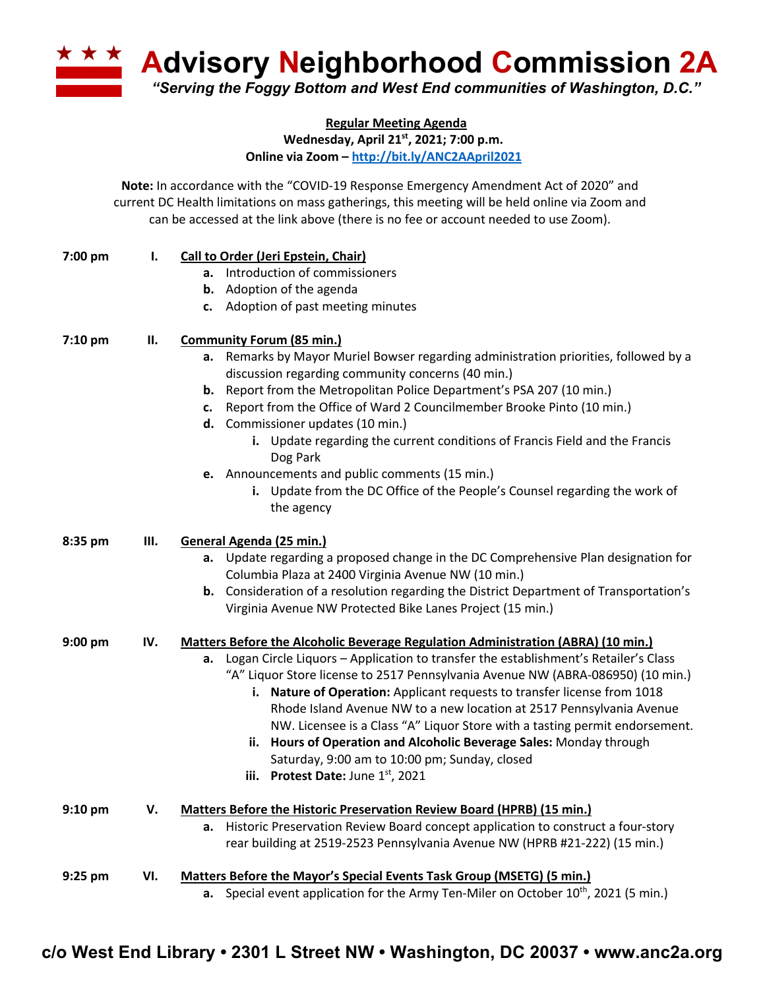**A Advisory Neighborhood Commission 2A** *"Serving the Foggy Bottom and West End communities of Washington, D.C."*

**Regular Meeting Agenda**

**Wednesday, April 21st, 2021; 7:00 p.m.**

**Online via Zoom – http://bit.ly/ANC2AApril2021**

**Note:** In accordance with the "COVID-19 Response Emergency Amendment Act of 2020" and current DC Health limitations on mass gatherings, this meeting will be held online via Zoom and can be accessed at the link above (there is no fee or account needed to use Zoom).

| 7:00 pm   | Ι.  | Call to Order (Jeri Epstein, Chair)                                                                                                       |  |
|-----------|-----|-------------------------------------------------------------------------------------------------------------------------------------------|--|
|           |     | a. Introduction of commissioners                                                                                                          |  |
|           |     | <b>b.</b> Adoption of the agenda                                                                                                          |  |
|           |     | c. Adoption of past meeting minutes                                                                                                       |  |
| $7:10$ pm | П.  | <b>Community Forum (85 min.)</b>                                                                                                          |  |
|           |     | a. Remarks by Mayor Muriel Bowser regarding administration priorities, followed by a<br>discussion regarding community concerns (40 min.) |  |
|           |     | <b>b.</b> Report from the Metropolitan Police Department's PSA 207 (10 min.)                                                              |  |
|           |     | c. Report from the Office of Ward 2 Councilmember Brooke Pinto (10 min.)                                                                  |  |
|           |     | d. Commissioner updates (10 min.)                                                                                                         |  |
|           |     | i. Update regarding the current conditions of Francis Field and the Francis<br>Dog Park                                                   |  |
|           |     | e. Announcements and public comments (15 min.)                                                                                            |  |
|           |     | i. Update from the DC Office of the People's Counsel regarding the work of<br>the agency                                                  |  |
| 8:35 pm   | Ш.  | General Agenda (25 min.)                                                                                                                  |  |
|           |     | Update regarding a proposed change in the DC Comprehensive Plan designation for<br>a.                                                     |  |
|           |     | Columbia Plaza at 2400 Virginia Avenue NW (10 min.)                                                                                       |  |
|           |     | <b>b.</b> Consideration of a resolution regarding the District Department of Transportation's                                             |  |
|           |     | Virginia Avenue NW Protected Bike Lanes Project (15 min.)                                                                                 |  |
| $9:00$ pm | IV. | <b>Matters Before the Alcoholic Beverage Regulation Administration (ABRA) (10 min.)</b>                                                   |  |
|           |     | Logan Circle Liquors - Application to transfer the establishment's Retailer's Class<br>а.                                                 |  |
|           |     | "A" Liquor Store license to 2517 Pennsylvania Avenue NW (ABRA-086950) (10 min.)                                                           |  |
|           |     | i. Nature of Operation: Applicant requests to transfer license from 1018                                                                  |  |
|           |     | Rhode Island Avenue NW to a new location at 2517 Pennsylvania Avenue                                                                      |  |
|           |     | NW. Licensee is a Class "A" Liquor Store with a tasting permit endorsement.                                                               |  |
|           |     | ii. Hours of Operation and Alcoholic Beverage Sales: Monday through<br>Saturday, 9:00 am to 10:00 pm; Sunday, closed                      |  |
|           |     | <b>Protest Date: June 1st, 2021</b><br>iii.                                                                                               |  |
| $9:10$ pm | v.  | Matters Before the Historic Preservation Review Board (HPRB) (15 min.)                                                                    |  |
|           |     | a. Historic Preservation Review Board concept application to construct a four-story                                                       |  |
|           |     | rear building at 2519-2523 Pennsylvania Avenue NW (HPRB #21-222) (15 min.)                                                                |  |
| $9:25$ pm | VI. | Matters Before the Mayor's Special Events Task Group (MSETG) (5 min.)                                                                     |  |
|           |     | a. Special event application for the Army Ten-Miler on October $10^{th}$ , 2021 (5 min.)                                                  |  |